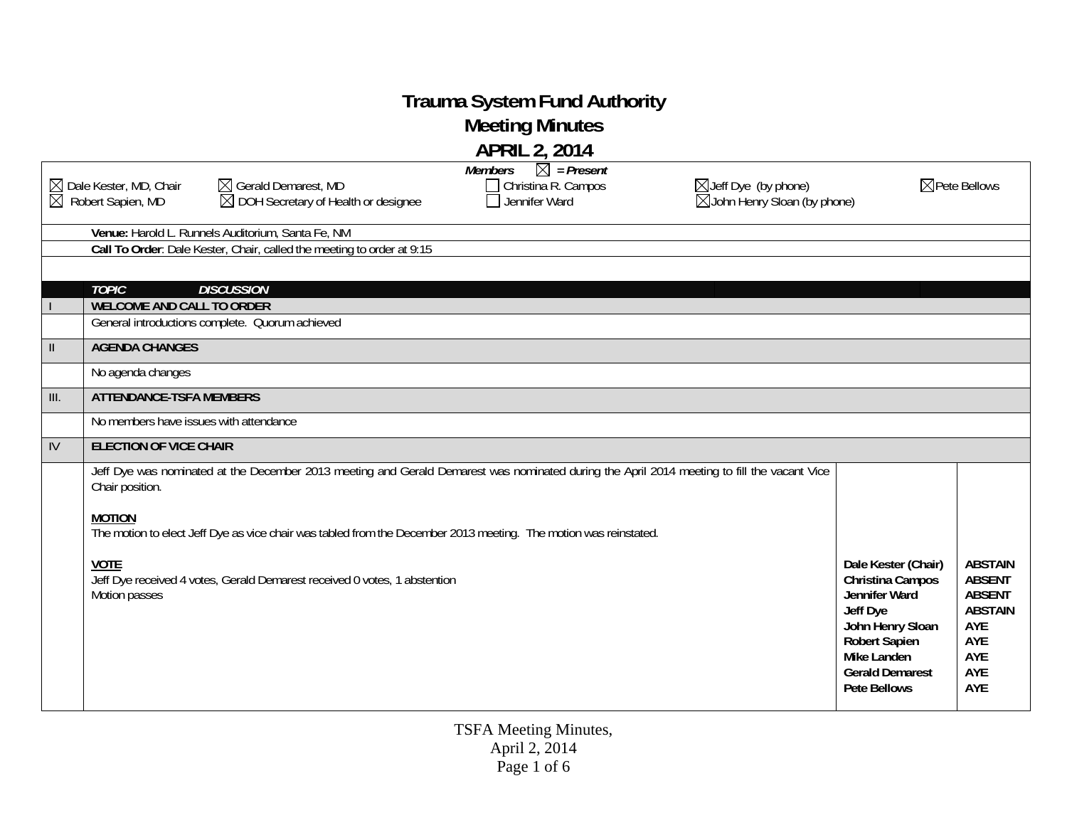## **Trauma System Fund Authority**

**Meeting Minutes** 

|                           |                                                                                |                                                                                                                                             | <b>APRIL 2, 2014</b>                                                     |                                                                            |                                                                                                                                                                                  |                                                                                                       |
|---------------------------|--------------------------------------------------------------------------------|---------------------------------------------------------------------------------------------------------------------------------------------|--------------------------------------------------------------------------|----------------------------------------------------------------------------|----------------------------------------------------------------------------------------------------------------------------------------------------------------------------------|-------------------------------------------------------------------------------------------------------|
|                           | $\boxtimes$ Dale Kester, MD, Chair<br>$\overline{\boxtimes}$ Robert Sapien, MD | $\boxtimes$ Gerald Demarest, MD<br>$\boxtimes$ DOH Secretary of Health or designee                                                          | $\boxtimes$ = Present<br>Members<br>Christina R. Campos<br>Jennifer Ward | $\boxtimes$ Jeff Dye (by phone)<br>$\boxtimes$ John Henry Sloan (by phone) |                                                                                                                                                                                  | $\boxtimes$ Pete Bellows                                                                              |
|                           |                                                                                | Venue: Harold L. Runnels Auditorium, Santa Fe, NM                                                                                           |                                                                          |                                                                            |                                                                                                                                                                                  |                                                                                                       |
|                           |                                                                                | Call To Order: Dale Kester, Chair, called the meeting to order at 9:15                                                                      |                                                                          |                                                                            |                                                                                                                                                                                  |                                                                                                       |
|                           |                                                                                |                                                                                                                                             |                                                                          |                                                                            |                                                                                                                                                                                  |                                                                                                       |
|                           | <b>TOPIC</b>                                                                   | <b>DISCUSSION</b>                                                                                                                           |                                                                          |                                                                            |                                                                                                                                                                                  |                                                                                                       |
|                           | <b>WELCOME AND CALL TO ORDER</b>                                               |                                                                                                                                             |                                                                          |                                                                            |                                                                                                                                                                                  |                                                                                                       |
|                           |                                                                                | General introductions complete. Quorum achieved                                                                                             |                                                                          |                                                                            |                                                                                                                                                                                  |                                                                                                       |
| $\mathbf{H}$              | <b>AGENDA CHANGES</b>                                                          |                                                                                                                                             |                                                                          |                                                                            |                                                                                                                                                                                  |                                                                                                       |
|                           | No agenda changes                                                              |                                                                                                                                             |                                                                          |                                                                            |                                                                                                                                                                                  |                                                                                                       |
| $\overline{\mathbb{H}}$ . | <b>ATTENDANCE-TSFA MEMBERS</b>                                                 |                                                                                                                                             |                                                                          |                                                                            |                                                                                                                                                                                  |                                                                                                       |
|                           | No members have issues with attendance                                         |                                                                                                                                             |                                                                          |                                                                            |                                                                                                                                                                                  |                                                                                                       |
| $\overline{W}$            | <b>ELECTION OF VICE CHAIR</b>                                                  |                                                                                                                                             |                                                                          |                                                                            |                                                                                                                                                                                  |                                                                                                       |
|                           | Chair position.                                                                | Jeff Dye was nominated at the December 2013 meeting and Gerald Demarest was nominated during the April 2014 meeting to fill the vacant Vice |                                                                          |                                                                            |                                                                                                                                                                                  |                                                                                                       |
|                           | <b>MOTION</b>                                                                  | The motion to elect Jeff Dye as vice chair was tabled from the December 2013 meeting. The motion was reinstated.                            |                                                                          |                                                                            |                                                                                                                                                                                  |                                                                                                       |
|                           | <b>VOTE</b><br>Motion passes                                                   | Jeff Dye received 4 votes, Gerald Demarest received 0 votes, 1 abstention                                                                   |                                                                          |                                                                            | Dale Kester (Chair)<br>Christina Campos<br>Jennifer Ward<br>Jeff Dye<br>John Henry Sloan<br><b>Robert Sapien</b><br>Mike Landen<br><b>Gerald Demarest</b><br><b>Pete Bellows</b> | <b>ABSTAIN</b><br><b>ABSENT</b><br><b>ABSENT</b><br><b>ABSTAIN</b><br>AYE<br>AYE<br>AYE<br>AYE<br>AYE |

TSFA Meeting Minutes, April 2, 2014 Page 1 of 6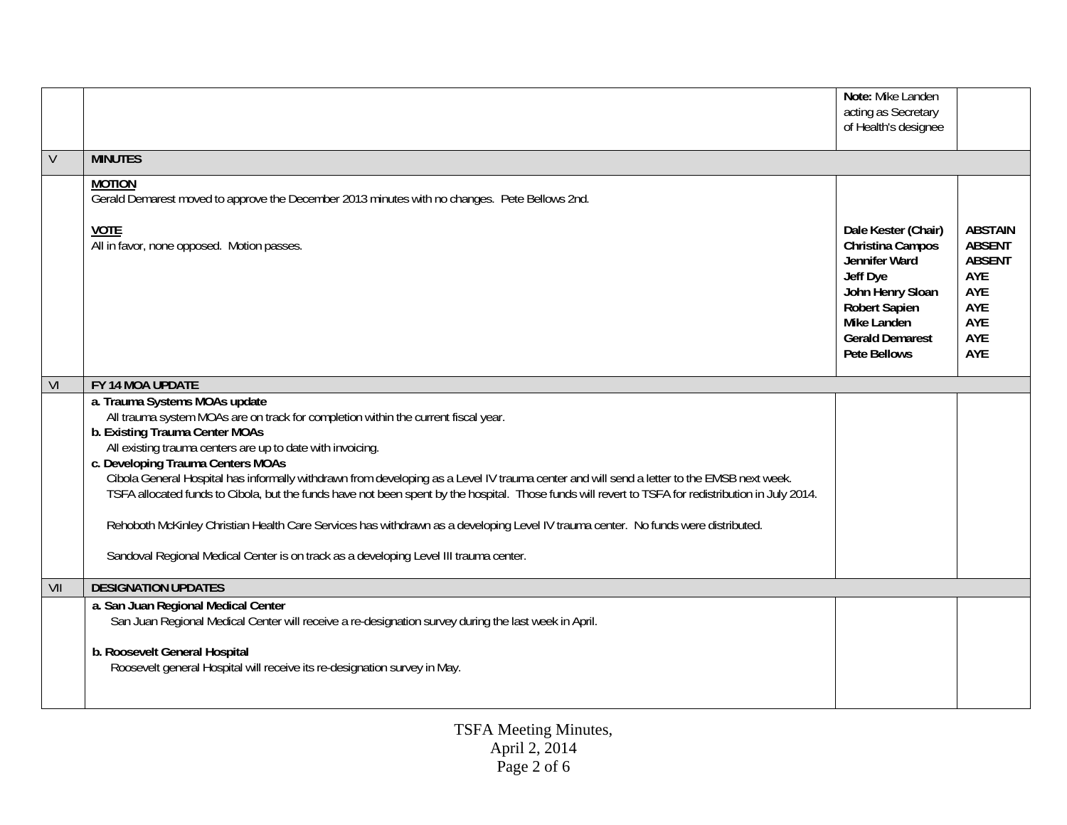|        |                                                                                                                                                                                                                                                                                                                                                                                                                                                                                                                                                                                                                                                                                                                                                            | Note: Mike Landen<br>acting as Secretary<br>of Health's designee                                                                                                                 |                                                                                            |
|--------|------------------------------------------------------------------------------------------------------------------------------------------------------------------------------------------------------------------------------------------------------------------------------------------------------------------------------------------------------------------------------------------------------------------------------------------------------------------------------------------------------------------------------------------------------------------------------------------------------------------------------------------------------------------------------------------------------------------------------------------------------------|----------------------------------------------------------------------------------------------------------------------------------------------------------------------------------|--------------------------------------------------------------------------------------------|
| $\vee$ | <b>MINUTES</b>                                                                                                                                                                                                                                                                                                                                                                                                                                                                                                                                                                                                                                                                                                                                             |                                                                                                                                                                                  |                                                                                            |
|        | <b>MOTION</b><br>Gerald Demarest moved to approve the December 2013 minutes with no changes. Pete Bellows 2nd.<br><b>VOTE</b><br>All in favor, none opposed. Motion passes.                                                                                                                                                                                                                                                                                                                                                                                                                                                                                                                                                                                | Dale Kester (Chair)<br>Christina Campos<br>Jennifer Ward<br>Jeff Dye<br>John Henry Sloan<br><b>Robert Sapien</b><br>Mike Landen<br><b>Gerald Demarest</b><br><b>Pete Bellows</b> | <b>ABSTAIN</b><br><b>ABSENT</b><br><b>ABSENT</b><br>AYE<br>AYE<br>AYE<br>AYE<br>AYE<br>AYE |
|        |                                                                                                                                                                                                                                                                                                                                                                                                                                                                                                                                                                                                                                                                                                                                                            |                                                                                                                                                                                  |                                                                                            |
| VI     | FY 14 MOA UPDATE<br>a. Trauma Systems MOAs update                                                                                                                                                                                                                                                                                                                                                                                                                                                                                                                                                                                                                                                                                                          |                                                                                                                                                                                  |                                                                                            |
|        | All trauma system MOAs are on track for completion within the current fiscal year.<br>b. Existing Trauma Center MOAs<br>All existing trauma centers are up to date with invoicing.<br>c. Developing Trauma Centers MOAs<br>Cibola General Hospital has informally withdrawn from developing as a Level IV trauma center and will send a letter to the EMSB next week.<br>TSFA allocated funds to Cibola, but the funds have not been spent by the hospital. Those funds will revert to TSFA for redistribution in July 2014.<br>Rehoboth McKinley Christian Health Care Services has withdrawn as a developing Level IV trauma center. No funds were distributed.<br>Sandoval Regional Medical Center is on track as a developing Level III trauma center. |                                                                                                                                                                                  |                                                                                            |
| VII    | <b>DESIGNATION UPDATES</b>                                                                                                                                                                                                                                                                                                                                                                                                                                                                                                                                                                                                                                                                                                                                 |                                                                                                                                                                                  |                                                                                            |
|        | a. San Juan Regional Medical Center<br>San Juan Regional Medical Center will receive a re-designation survey during the last week in April.<br>b. Roosevelt General Hospital<br>Roosevelt general Hospital will receive its re-designation survey in May.                                                                                                                                                                                                                                                                                                                                                                                                                                                                                                  |                                                                                                                                                                                  |                                                                                            |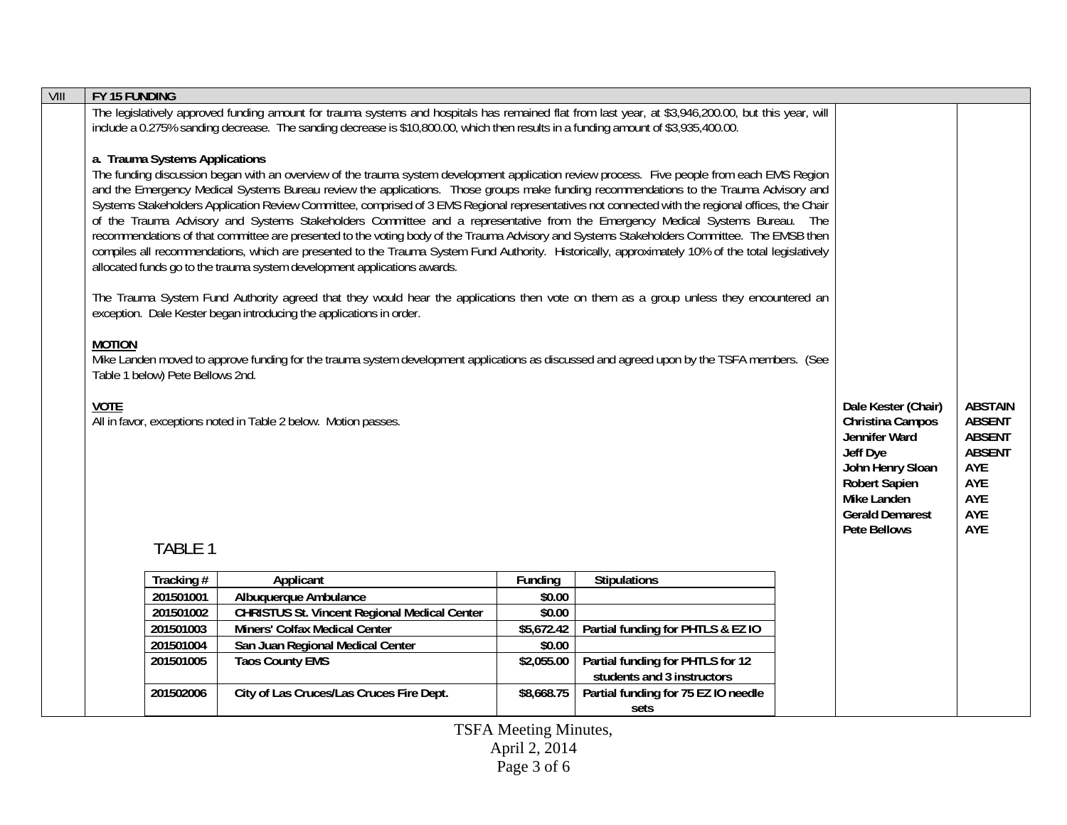| VIII | FY 15 FUNDING                                                                                                                                                                                                                                                                                                                                                                                                                                                                                                                                                                                                                                                                                                                                                                                                                                                                                                                                                                                 |                        |                                                                                                                                                                                                                                                                                          |                  |                                             |  |                                                                                                                                                                                  |                                                                                                      |
|------|-----------------------------------------------------------------------------------------------------------------------------------------------------------------------------------------------------------------------------------------------------------------------------------------------------------------------------------------------------------------------------------------------------------------------------------------------------------------------------------------------------------------------------------------------------------------------------------------------------------------------------------------------------------------------------------------------------------------------------------------------------------------------------------------------------------------------------------------------------------------------------------------------------------------------------------------------------------------------------------------------|------------------------|------------------------------------------------------------------------------------------------------------------------------------------------------------------------------------------------------------------------------------------------------------------------------------------|------------------|---------------------------------------------|--|----------------------------------------------------------------------------------------------------------------------------------------------------------------------------------|------------------------------------------------------------------------------------------------------|
|      |                                                                                                                                                                                                                                                                                                                                                                                                                                                                                                                                                                                                                                                                                                                                                                                                                                                                                                                                                                                               |                        | The legislatively approved funding amount for trauma systems and hospitals has remained flat from last year, at \$3,946,200.00, but this year, will<br>include a 0.275% sanding decrease. The sanding decrease is \$10,800.00, which then results in a funding amount of \$3,935,400.00. |                  |                                             |  |                                                                                                                                                                                  |                                                                                                      |
|      | a. Trauma Systems Applications<br>The funding discussion began with an overview of the trauma system development application review process. Five people from each EMS Region<br>and the Emergency Medical Systems Bureau review the applications. Those groups make funding recommendations to the Trauma Advisory and<br>Systems Stakeholders Application Review Committee, comprised of 3 EMS Regional representatives not connected with the regional offices, the Chair<br>of the Trauma Advisory and Systems Stakeholders Committee and a representative from the Emergency Medical Systems Bureau. The<br>recommendations of that committee are presented to the voting body of the Trauma Advisory and Systems Stakeholders Committee. The EMSB then<br>compiles all recommendations, which are presented to the Trauma System Fund Authority. Historically, approximately 10% of the total legislatively<br>allocated funds go to the trauma system development applications awards. |                        |                                                                                                                                                                                                                                                                                          |                  |                                             |  |                                                                                                                                                                                  |                                                                                                      |
|      | The Trauma System Fund Authority agreed that they would hear the applications then vote on them as a group unless they encountered an<br>exception. Dale Kester began introducing the applications in order.                                                                                                                                                                                                                                                                                                                                                                                                                                                                                                                                                                                                                                                                                                                                                                                  |                        |                                                                                                                                                                                                                                                                                          |                  |                                             |  |                                                                                                                                                                                  |                                                                                                      |
|      | <b>MOTION</b><br>Mike Landen moved to approve funding for the trauma system development applications as discussed and agreed upon by the TSFA members. (See<br>Table 1 below) Pete Bellows 2nd.                                                                                                                                                                                                                                                                                                                                                                                                                                                                                                                                                                                                                                                                                                                                                                                               |                        |                                                                                                                                                                                                                                                                                          |                  |                                             |  |                                                                                                                                                                                  |                                                                                                      |
|      | <b>VOTE</b><br>All in favor, exceptions noted in Table 2 below. Motion passes.<br><b>TABLE 1</b>                                                                                                                                                                                                                                                                                                                                                                                                                                                                                                                                                                                                                                                                                                                                                                                                                                                                                              |                        |                                                                                                                                                                                                                                                                                          |                  |                                             |  | Dale Kester (Chair)<br>Christina Campos<br>Jennifer Ward<br>Jeff Dye<br>John Henry Sloan<br><b>Robert Sapien</b><br>Mike Landen<br><b>Gerald Demarest</b><br><b>Pete Bellows</b> | <b>ABSTAIN</b><br><b>ABSENT</b><br><b>ABSENT</b><br><b>ABSENT</b><br>AYE<br>AYE<br>AYE<br>AYE<br>AYE |
|      |                                                                                                                                                                                                                                                                                                                                                                                                                                                                                                                                                                                                                                                                                                                                                                                                                                                                                                                                                                                               |                        |                                                                                                                                                                                                                                                                                          |                  |                                             |  |                                                                                                                                                                                  |                                                                                                      |
|      |                                                                                                                                                                                                                                                                                                                                                                                                                                                                                                                                                                                                                                                                                                                                                                                                                                                                                                                                                                                               | Tracking #             | Applicant                                                                                                                                                                                                                                                                                | Funding          | <b>Stipulations</b>                         |  |                                                                                                                                                                                  |                                                                                                      |
|      |                                                                                                                                                                                                                                                                                                                                                                                                                                                                                                                                                                                                                                                                                                                                                                                                                                                                                                                                                                                               | 201501001<br>201501002 | Albuquerque Ambulance<br><b>CHRISTUS St. Vincent Regional Medical Center</b>                                                                                                                                                                                                             | \$0.00<br>\$0.00 |                                             |  |                                                                                                                                                                                  |                                                                                                      |
|      |                                                                                                                                                                                                                                                                                                                                                                                                                                                                                                                                                                                                                                                                                                                                                                                                                                                                                                                                                                                               | 201501003              | Miners' Colfax Medical Center                                                                                                                                                                                                                                                            | \$5,672.42       | Partial funding for PHTLS & EZ IO           |  |                                                                                                                                                                                  |                                                                                                      |
|      |                                                                                                                                                                                                                                                                                                                                                                                                                                                                                                                                                                                                                                                                                                                                                                                                                                                                                                                                                                                               | 201501004              | San Juan Regional Medical Center                                                                                                                                                                                                                                                         | \$0.00           |                                             |  |                                                                                                                                                                                  |                                                                                                      |
|      |                                                                                                                                                                                                                                                                                                                                                                                                                                                                                                                                                                                                                                                                                                                                                                                                                                                                                                                                                                                               | 201501005              | <b>Taos County EMS</b>                                                                                                                                                                                                                                                                   | \$2,055.00       | Partial funding for PHTLS for 12            |  |                                                                                                                                                                                  |                                                                                                      |
|      |                                                                                                                                                                                                                                                                                                                                                                                                                                                                                                                                                                                                                                                                                                                                                                                                                                                                                                                                                                                               |                        |                                                                                                                                                                                                                                                                                          |                  | students and 3 instructors                  |  |                                                                                                                                                                                  |                                                                                                      |
|      |                                                                                                                                                                                                                                                                                                                                                                                                                                                                                                                                                                                                                                                                                                                                                                                                                                                                                                                                                                                               | 201502006              | City of Las Cruces/Las Cruces Fire Dept.                                                                                                                                                                                                                                                 | \$8,668.75       | Partial funding for 75 EZ IO needle<br>sets |  |                                                                                                                                                                                  |                                                                                                      |
|      |                                                                                                                                                                                                                                                                                                                                                                                                                                                                                                                                                                                                                                                                                                                                                                                                                                                                                                                                                                                               |                        |                                                                                                                                                                                                                                                                                          |                  |                                             |  |                                                                                                                                                                                  |                                                                                                      |

TSFA Meeting Minutes, April 2, 2014 Page 3 of 6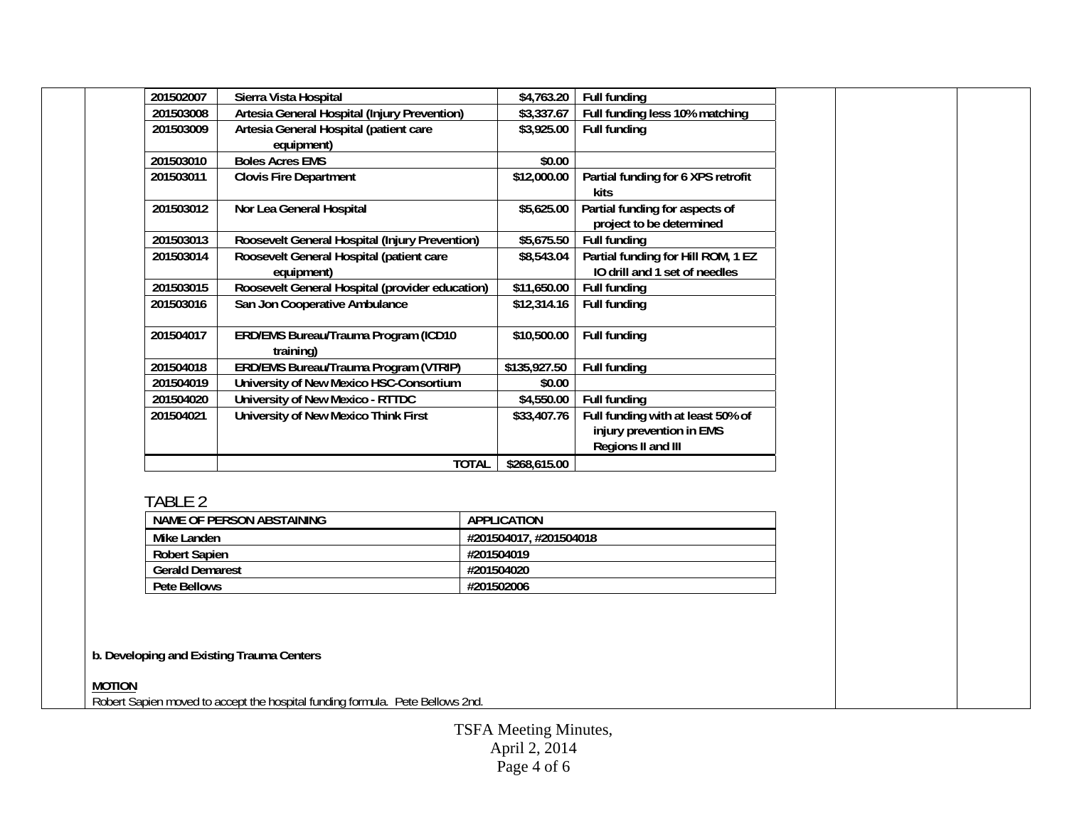| 201502007     | Sierra Vista Hospital                                  | \$4,763.20             | <b>Full funding</b>                                                                 |  |  |
|---------------|--------------------------------------------------------|------------------------|-------------------------------------------------------------------------------------|--|--|
| 201503008     | <b>Artesia General Hospital (Injury Prevention)</b>    | \$3,337.67             | Full funding less 10% matching                                                      |  |  |
| 201503009     | Artesia General Hospital (patient care<br>equipment)   | \$3,925.00             | Full funding                                                                        |  |  |
| 201503010     | <b>Boles Acres EMS</b>                                 | \$0.00                 |                                                                                     |  |  |
| 201503011     | <b>Clovis Fire Department</b>                          | \$12,000.00            | Partial funding for 6 XPS retrofit<br>kits                                          |  |  |
| 201503012     | Nor Lea General Hospital                               | \$5,625.00             | Partial funding for aspects of<br>project to be determined                          |  |  |
| 201503013     | Roosevelt General Hospital (Injury Prevention)         | \$5,675.50             | <b>Full funding</b>                                                                 |  |  |
| 201503014     | Roosevelt General Hospital (patient care<br>equipment) | \$8,543.04             | Partial funding for Hill ROM, 1 EZ<br>IO drill and 1 set of needles                 |  |  |
| 201503015     | Roosevelt General Hospital (provider education)        | \$11,650.00            | <b>Full funding</b>                                                                 |  |  |
| 201503016     | San Jon Cooperative Ambulance                          | \$12,314.16            | Full funding                                                                        |  |  |
| 201504017     | ERD/EMS Bureau/Trauma Program (ICD10<br>training)      | \$10,500.00            | Full funding                                                                        |  |  |
| 201504018     | <b>ERD/EMS Bureau/Trauma Program (VTRIP)</b>           | \$135,927.50           | <b>Full funding</b>                                                                 |  |  |
| 201504019     | University of New Mexico HSC-Consortium                | \$0.00                 |                                                                                     |  |  |
| 201504020     | <b>University of New Mexico - RTTDC</b>                | \$4,550.00             | Full funding                                                                        |  |  |
| 201504021     | <b>University of New Mexico Think First</b>            | \$33,407.76            | Full funding with at least 50% of<br>injury prevention in EMS<br>Regions II and III |  |  |
|               | <b>TOTAL</b>                                           | \$268,615.00           |                                                                                     |  |  |
| TABLE 2       |                                                        |                        |                                                                                     |  |  |
|               | <b>NAME OF PERSON ABSTAINING</b>                       | <b>APPLICATION</b>     |                                                                                     |  |  |
| Mike Landen   |                                                        | #201504017, #201504018 |                                                                                     |  |  |
|               | <b>Robert Sapien</b>                                   |                        | #201504019                                                                          |  |  |
|               | <b>Gerald Demarest</b>                                 |                        | #201504020<br>#201502006                                                            |  |  |
|               | <b>Pete Bellows</b>                                    |                        |                                                                                     |  |  |
|               | b. Developing and Existing Trauma Centers              |                        |                                                                                     |  |  |
| <b>MOTION</b> |                                                        |                        |                                                                                     |  |  |

**MOTION**  Robert Sapien moved to accept the hospital funding formula. Pete Bellows 2nd.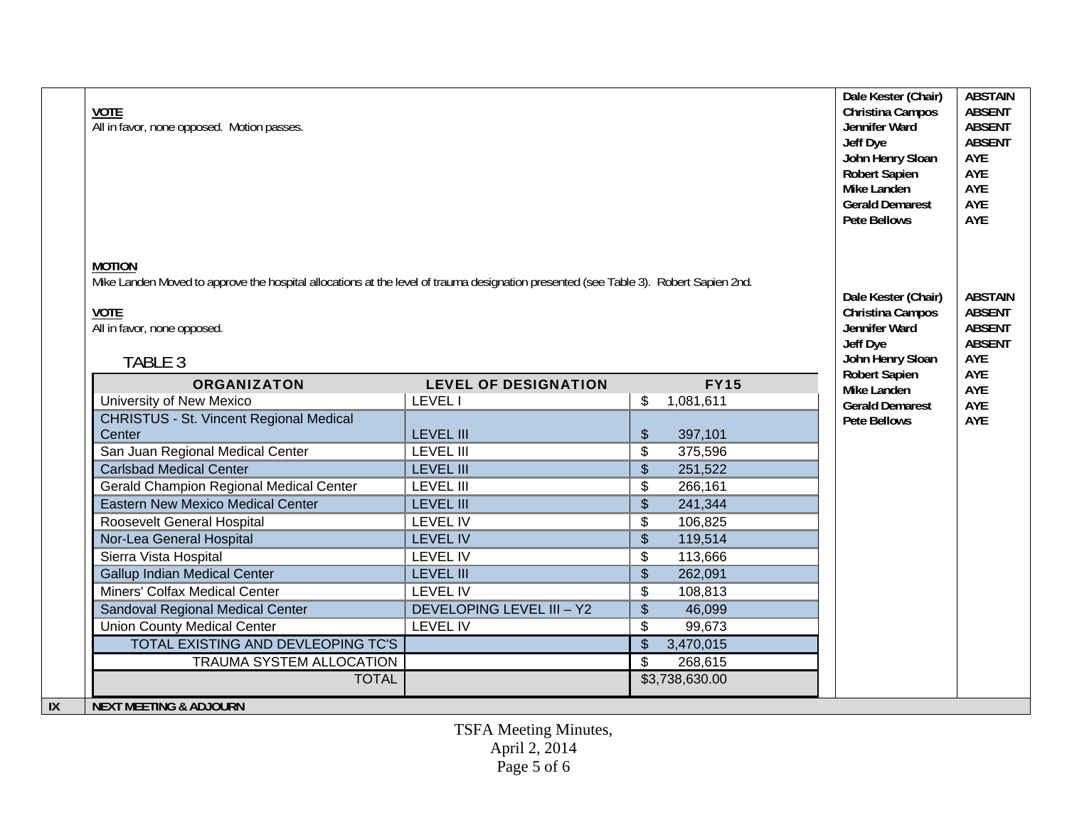| <b>VOTE</b><br>All in favor, none opposed. Motion passes. | <b>MOTION</b><br>Mike Landen Moved to approve the hospital allocations at the level of trauma designation presented (see Table 3). Robert Sapien 2nd.<br><b>VOTE</b><br>All in favor, none opposed. |                                      |                                       |            |  |  |
|-----------------------------------------------------------|-----------------------------------------------------------------------------------------------------------------------------------------------------------------------------------------------------|--------------------------------------|---------------------------------------|------------|--|--|
| TABLE 3                                                   |                                                                                                                                                                                                     |                                      |                                       |            |  |  |
| <b>ORGANIZATON</b>                                        | <b>LEVEL OF DESIGNATION</b>                                                                                                                                                                         | <b>FY15</b>                          | <b>Robert Sapien</b>                  | AYE<br>AYE |  |  |
| University of New Mexico                                  | <b>LEVEL1</b>                                                                                                                                                                                       | \$<br>1,081,611                      | Mike Landen<br><b>Gerald Demarest</b> | AYE        |  |  |
| <b>CHRISTUS - St. Vincent Regional Medical</b>            |                                                                                                                                                                                                     |                                      | <b>Pete Bellows</b>                   | AYE        |  |  |
| Center                                                    | <b>LEVEL III</b>                                                                                                                                                                                    | \$<br>397,101                        |                                       |            |  |  |
| San Juan Regional Medical Center                          | <b>LEVEL III</b>                                                                                                                                                                                    | $\overline{\$}$<br>375,596           |                                       |            |  |  |
| <b>Carlsbad Medical Center</b>                            | <b>LEVEL III</b>                                                                                                                                                                                    | $\sqrt[6]{\frac{1}{2}}$<br>251,522   |                                       |            |  |  |
| <b>Gerald Champion Regional Medical Center</b>            | <b>LEVEL III</b>                                                                                                                                                                                    | \$<br>266,161                        |                                       |            |  |  |
| <b>Eastern New Mexico Medical Center</b>                  | <b>LEVEL III</b>                                                                                                                                                                                    | $\overline{\$}$<br>241,344           |                                       |            |  |  |
| Roosevelt General Hospital                                | <b>LEVEL IV</b>                                                                                                                                                                                     | \$<br>106,825                        |                                       |            |  |  |
| Nor-Lea General Hospital                                  | <b>LEVEL IV</b>                                                                                                                                                                                     | $\sqrt[6]{\frac{1}{2}}$<br>119,514   |                                       |            |  |  |
| Sierra Vista Hospital                                     | <b>LEVEL IV</b>                                                                                                                                                                                     | \$<br>113,666                        |                                       |            |  |  |
| <b>Gallup Indian Medical Center</b>                       | <b>LEVEL III</b>                                                                                                                                                                                    | $\sqrt[6]{\frac{1}{2}}$<br>262,091   |                                       |            |  |  |
| Miners' Colfax Medical Center                             | <b>LEVEL IV</b>                                                                                                                                                                                     | \$<br>108,813                        |                                       |            |  |  |
| Sandoval Regional Medical Center                          | <b>DEVELOPING LEVEL III - Y2</b>                                                                                                                                                                    | $\overline{\$}$<br>46,099            |                                       |            |  |  |
| <b>Union County Medical Center</b>                        | <b>LEVEL IV</b>                                                                                                                                                                                     | \$<br>99,673                         |                                       |            |  |  |
| TOTAL EXISTING AND DEVLEOPING TC'S                        |                                                                                                                                                                                                     | $\sqrt[6]{\frac{1}{2}}$<br>3,470,015 |                                       |            |  |  |
| <b>TRAUMA SYSTEM ALLOCATION</b>                           |                                                                                                                                                                                                     | $\overline{\mathcal{S}}$<br>268,615  |                                       |            |  |  |
| <b>TOTAL</b>                                              |                                                                                                                                                                                                     | \$3,738,630.00                       |                                       |            |  |  |
| IX<br><b>NEXT MEETING &amp; ADJOURN</b>                   |                                                                                                                                                                                                     |                                      |                                       |            |  |  |

TSFA Meeting Minutes, April 2, 2014 Page 5 of 6